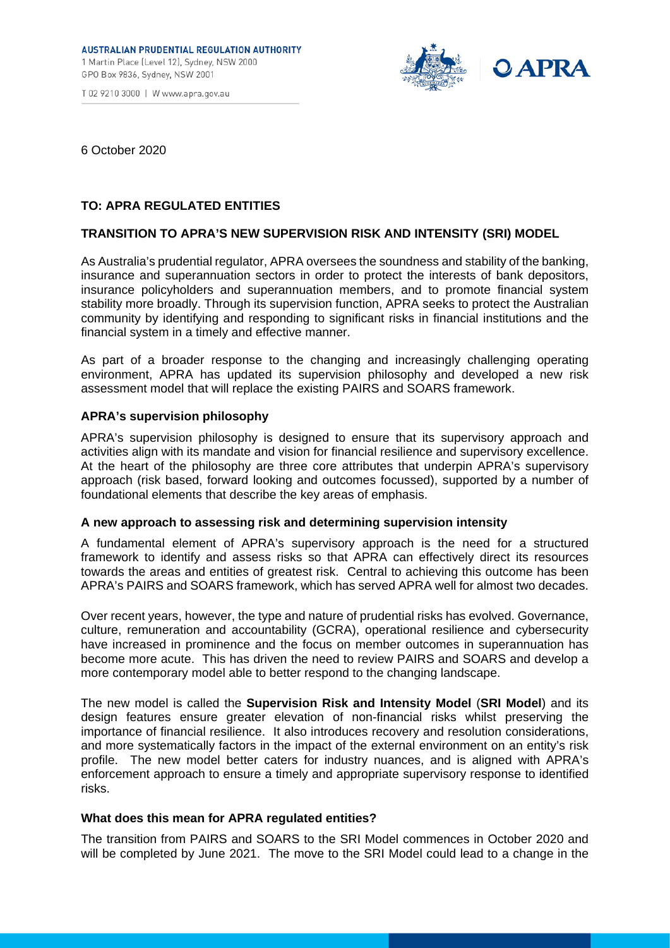T 02 9210 3000 | W www.apra.gov.au



6 October 2020

# **TO: APRA REGULATED ENTITIES**

## **TRANSITION TO APRA'S NEW SUPERVISION RISK AND INTENSITY (SRI) MODEL**

As Australia's prudential regulator, APRA oversees the soundness and stability of the banking, insurance and superannuation sectors in order to protect the interests of bank depositors, insurance policyholders and superannuation members, and to promote financial system stability more broadly. Through its supervision function, APRA seeks to protect the Australian community by identifying and responding to significant risks in financial institutions and the financial system in a timely and effective manner.

As part of a broader response to the changing and increasingly challenging operating environment, APRA has updated its supervision philosophy and developed a new risk assessment model that will replace the existing PAIRS and SOARS framework.

### **APRA's supervision philosophy**

APRA's supervision philosophy is designed to ensure that its supervisory approach and activities align with its mandate and vision for financial resilience and supervisory excellence. At the heart of the philosophy are three core attributes that underpin APRA's supervisory approach (risk based, forward looking and outcomes focussed), supported by a number of foundational elements that describe the key areas of emphasis.

### **A new approach to assessing risk and determining supervision intensity**

A fundamental element of APRA's supervisory approach is the need for a structured framework to identify and assess risks so that APRA can effectively direct its resources towards the areas and entities of greatest risk. Central to achieving this outcome has been APRA's PAIRS and SOARS framework, which has served APRA well for almost two decades.

Over recent years, however, the type and nature of prudential risks has evolved. Governance, culture, remuneration and accountability (GCRA), operational resilience and cybersecurity have increased in prominence and the focus on member outcomes in superannuation has become more acute. This has driven the need to review PAIRS and SOARS and develop a more contemporary model able to better respond to the changing landscape.

The new model is called the **Supervision Risk and Intensity Model** (**SRI Model**) and its design features ensure greater elevation of non-financial risks whilst preserving the importance of financial resilience. It also introduces recovery and resolution considerations, and more systematically factors in the impact of the external environment on an entity's risk profile. The new model better caters for industry nuances, and is aligned with APRA's enforcement approach to ensure a timely and appropriate supervisory response to identified risks.

### **What does this mean for APRA regulated entities?**

The transition from PAIRS and SOARS to the SRI Model commences in October 2020 and will be completed by June 2021. The move to the SRI Model could lead to a change in the